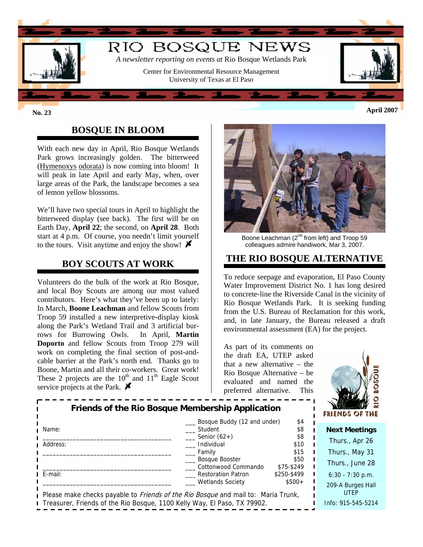

# **BOSQUE IN BLOOM**

With each new day in April, Rio Bosque Wetlands Park grows increasingly golden. The bitterweed (Hymenoxys odorata) is now coming into bloom! It will peak in late April and early May, when, over large areas of the Park, the landscape becomes a sea of lemon yellow blossoms.

We'll have two special tours in April to highlight the bitterweed display (see back). The first will be on Earth Day, **April 22**; the second, on **April 28**. Both start at 4 p.m. Of course, you needn't limit yourself to the tours. Visit anytime and enjoy the show!  $\blacktriangleright$ 

### **BOY SCOUTS AT WORK**

Volunteers do the bulk of the work at Rio Bosque, and local Boy Scouts are among our most valued contributors. Here's what they've been up to lately: In March, **Boone Leachman** and fellow Scouts from Troop 59 installed a new interpretive-display kiosk along the Park's Wetland Trail and 3 artificial burrows for Burrowing Owls. In April, **Martin Doporto** and fellow Scouts from Troop 279 will work on completing the final section of post-andcable barrier at the Park's north end. Thanks go to Boone, Martin and all their co-workers. Great work! These 2 projects are the  $10^{th}$  and  $11^{th}$  Eagle Scout service projects at the Park.  $\blacktriangleright$ 



Boone Leachman (2<sup>nd</sup> from left) and Troop 59 colleagues admire handiwork, Mar 3, 2007.

#### **THE RIO BOSQUE ALTERNATIVE**

To reduce seepage and evaporation, El Paso County Water Improvement District No. 1 has long desired to concrete-line the Riverside Canal in the vicinity of Rio Bosque Wetlands Park. It is seeking funding from the U.S. Bureau of Reclamation for this work, and, in late January, the Bureau released a draft environmental assessment (EA) for the project.

As part of its comments on the draft EA, UTEP asked that a new alternative – the Rio Bosque Alternative – be evaluated and named the preferred alternative. This



| Friends of the Rio Bosque Membership Application                                         |                                               |                        | 124<br>FRIENDS OF THE |
|------------------------------------------------------------------------------------------|-----------------------------------------------|------------------------|-----------------------|
| Name:                                                                                    | Bosque Buddy (12 and under)<br>Student        | \$4<br>\$8             | <b>Next Meetings</b>  |
| Address:                                                                                 | Senior $(62+)$<br>Individual                  | \$8<br>\$10            | Thurs., Apr 26        |
|                                                                                          | Family<br><b>Bosque Booster</b>               | \$15<br>\$50           | Thurs., May 31        |
|                                                                                          | Cottonwood Commando                           | \$75-\$249             | Thurs., June 28       |
| E-mail:                                                                                  | Restoration Patron<br><b>Wetlands Society</b> | \$250-\$499<br>$$500+$ | $6:30 - 7:30$ p.m.    |
| Please make checks payable to <i>Friends of the Rio Bosque</i> and mail to: Maria Trunk, | 209-A Burges Hall<br><b>UTEP</b>              |                        |                       |
| Treasurer, Friends of the Rio Bosque, 1100 Kelly Way, El Paso, TX 79902.                 |                                               |                        | Info: 915-545-5214    |